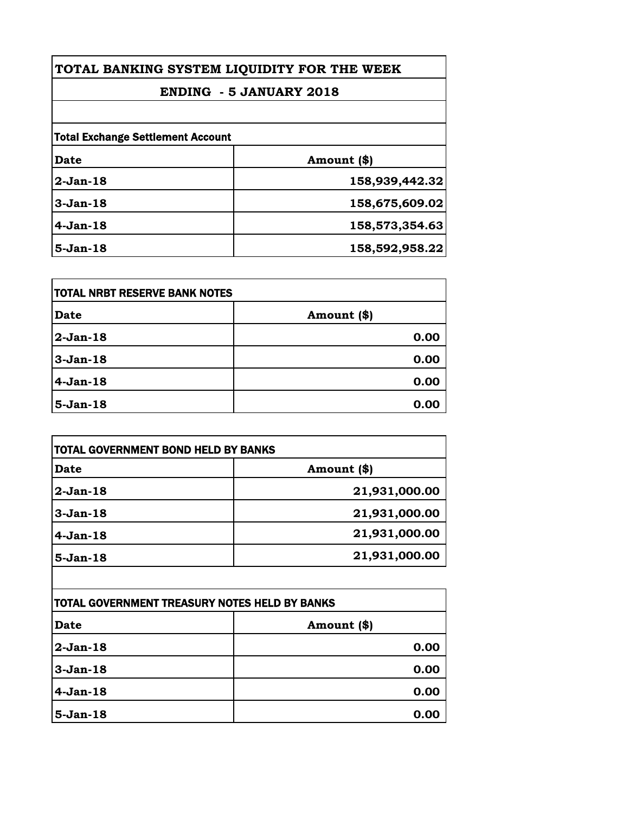| TOTAL BANKING SYSTEM LIQUIDITY FOR THE WEEK                                |                |            |                |
|----------------------------------------------------------------------------|----------------|------------|----------------|
| <b>ENDING - 5 JANUARY 2018</b><br><b>Total Exchange Settlement Account</b> |                |            |                |
|                                                                            |                | Date       | Amount (\$)    |
|                                                                            |                | $2-Jan-18$ | 158,939,442.32 |
| $3-Jan-18$                                                                 | 158,675,609.02 |            |                |
| $4-Jan-18$                                                                 | 158,573,354.63 |            |                |
| $5-Jan-18$                                                                 | 158,592,958.22 |            |                |

| TOTAL NRBT RESERVE BANK NOTES |             |
|-------------------------------|-------------|
| <b>Date</b>                   | Amount (\$) |
| 2-Jan-18                      | 0.00        |
| $3-Jan-18$                    | 0.00        |
| $4-Jan-18$                    | 0.00        |
| $5-Jan-18$                    | 0.00        |

| TOTAL GOVERNMENT BOND HELD BY BANKS |               |
|-------------------------------------|---------------|
| <b>Date</b>                         | Amount (\$)   |
| $2-Jan-18$                          | 21,931,000.00 |
| $3-Jan-18$                          | 21,931,000.00 |
| $4-Jan-18$                          | 21,931,000.00 |
| $5-Jan-18$                          | 21,931,000.00 |

| <b>TOTAL GOVERNMENT TREASURY NOTES HELD BY BANKS</b> |             |
|------------------------------------------------------|-------------|
| <b>Date</b>                                          | Amount (\$) |
| 2-Jan-18                                             | 0.00        |
| $3-Jan-18$                                           | 0.00        |
| $4-Jan-18$                                           | 0.00        |
| $5-Jan-18$                                           | 0.00        |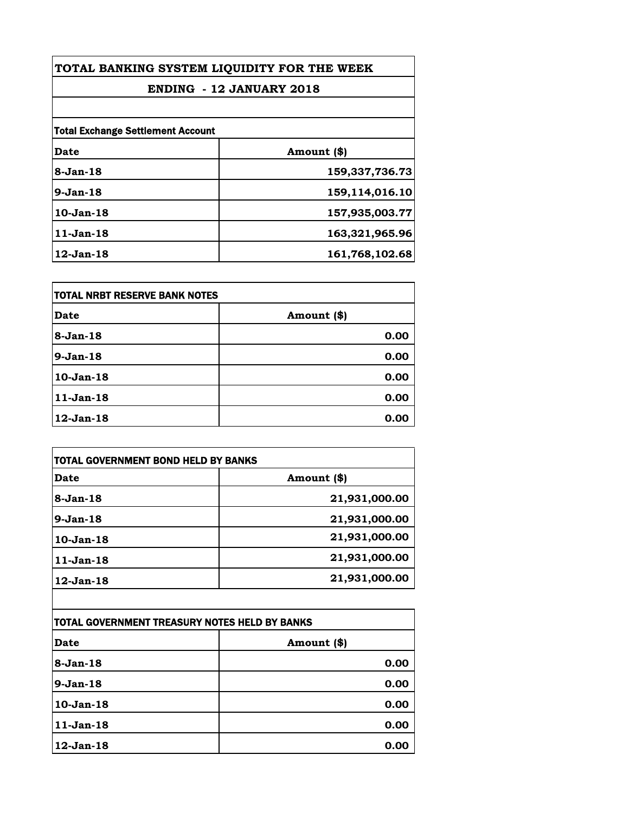| TOTAL BANKING SYSTEM LIQUIDITY FOR THE WEEK |                |
|---------------------------------------------|----------------|
| <b>ENDING - 12 JANUARY 2018</b>             |                |
|                                             |                |
| <b>Total Exchange Settlement Account</b>    |                |
| Date                                        | Amount (\$)    |
| $8-Jan-18$                                  | 159,337,736.73 |
| $9-Jan-18$                                  | 159,114,016.10 |
| $10$ -Jan $-18$                             | 157,935,003.77 |
| $11$ -Jan-18                                | 163,321,965.96 |
| $12$ -Jan- $18$                             | 161,768,102.68 |

| itotal NRBT RESERVE BANK NOTES |             |
|--------------------------------|-------------|
| <b>Date</b>                    | Amount (\$) |
| $8-Jan-18$                     | 0.00        |
| $9-Jan-18$                     | 0.00        |
| 10-Jan-18                      | 0.00        |
| $11-Jan-18$                    | 0.00        |
| 12-Jan-18                      | 0.00        |

| TOTAL GOVERNMENT BOND HELD BY BANKS |               |
|-------------------------------------|---------------|
| Date                                | Amount (\$)   |
| $8-Jan-18$                          | 21,931,000.00 |
| $9-Jan-18$                          | 21,931,000.00 |
| $10$ -Jan- $18$                     | 21,931,000.00 |
| $11-Jan-18$                         | 21,931,000.00 |
| $12$ -Jan- $18$                     | 21,931,000.00 |

| TOTAL GOVERNMENT TREASURY NOTES HELD BY BANKS |             |
|-----------------------------------------------|-------------|
| <b>Date</b>                                   | Amount (\$) |
| $8 - Jan - 18$                                | 0.00        |
| $9-Jan-18$                                    | 0.00        |
| $10$ -Jan- $18$                               | 0.00        |
| $11-Jan-18$                                   | 0.00        |
| $12$ -Jan- $18$                               | 0.00        |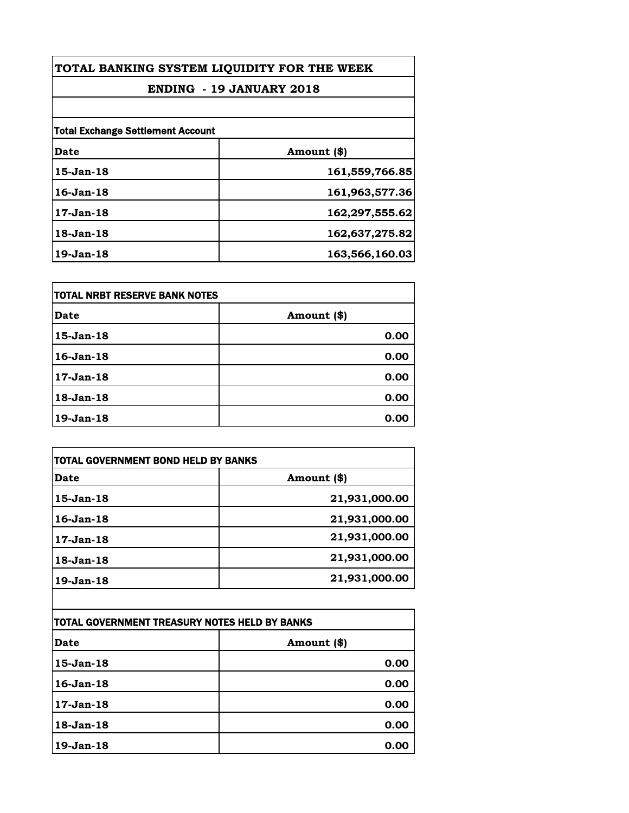| TOTAL BANKING SYSTEM LIQUIDITY FOR THE WEEK |                |
|---------------------------------------------|----------------|
| <b>ENDING - 19 JANUARY 2018</b>             |                |
|                                             |                |
| <b>Total Exchange Settlement Account</b>    |                |
| Date                                        | Amount (\$)    |
| $15$ -Jan- $18$                             | 161,559,766.85 |
| 16-Jan-18                                   | 161,963,577.36 |
| $17$ -Jan- $18$                             | 162,297,555.62 |
| 18-Jan-18                                   | 162,637,275.82 |
| $19$ -Jan- $18$                             | 163,566,160.03 |

| itotal NRBT RESERVE BANK NOTES |             |
|--------------------------------|-------------|
| <b>Date</b>                    | Amount (\$) |
| 15-Jan-18                      | 0.00        |
| $16$ -Jan- $18$                | 0.00        |
| $17$ -Jan-18                   | 0.00        |
| $18$ -Jan- $18$                | 0.00        |
| 19-Jan-18                      | 0.00        |

| TOTAL GOVERNMENT BOND HELD BY BANKS |               |
|-------------------------------------|---------------|
| Date                                | Amount (\$)   |
| 15-Jan-18                           | 21,931,000.00 |
| $16$ -Jan- $18$                     | 21,931,000.00 |
| 17-Jan-18                           | 21,931,000.00 |
| $18$ -Jan- $18$                     | 21,931,000.00 |
| 19-Jan-18                           | 21,931,000.00 |

| TOTAL GOVERNMENT TREASURY NOTES HELD BY BANKS |             |
|-----------------------------------------------|-------------|
| Date                                          | Amount (\$) |
| $15$ -Jan-18                                  | 0.00        |
| $16$ -Jan-18                                  | 0.00        |
| 17-Jan-18                                     | 0.00        |
| 18-Jan-18                                     | 0.00        |
| $19$ -Jan-18                                  | 0.00        |